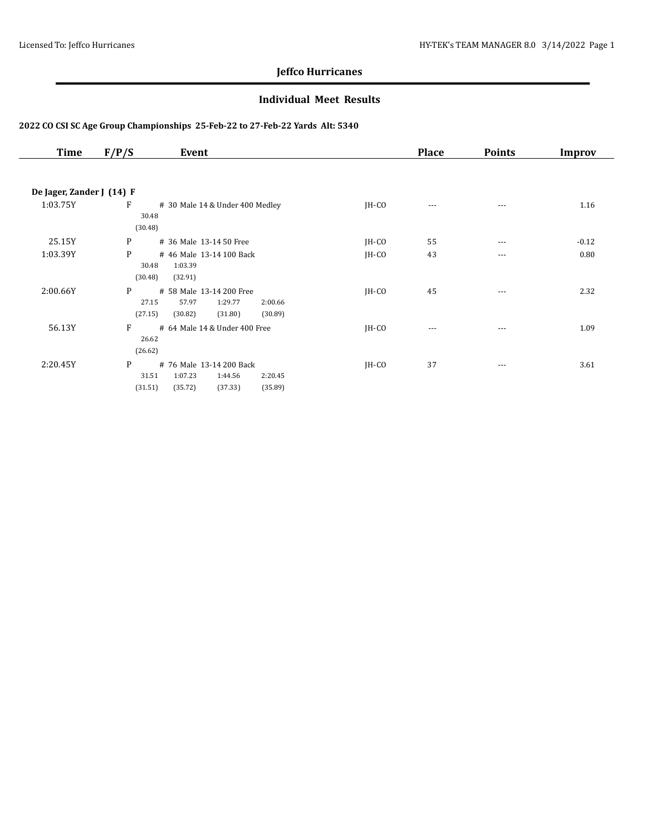### **Individual Meet Results**

| Time                      | F/P/S   | Event                           |         | <b>Place</b> | <b>Points</b> | Improv  |
|---------------------------|---------|---------------------------------|---------|--------------|---------------|---------|
|                           |         |                                 |         |              |               |         |
| De Jager, Zander J (14) F |         |                                 |         |              |               |         |
| 1:03.75Y                  | F       | # 30 Male 14 & Under 400 Medley | $IH-CO$ | $---$        | ---           | 1.16    |
|                           | 30.48   |                                 |         |              |               |         |
|                           | (30.48) |                                 |         |              |               |         |
| 25.15Y                    | P       | # 36 Male 13-14 50 Free         | $IH-CO$ | 55           | $---$         | $-0.12$ |
| 1:03.39Y                  | P       | # 46 Male 13-14 100 Back        | $IH-CO$ | 43           | $---$         | 0.80    |
|                           | 30.48   | 1:03.39                         |         |              |               |         |
|                           | (30.48) | (32.91)                         |         |              |               |         |
| 2:00.66Y                  | P       | # 58 Male 13-14 200 Free        | $IH-CO$ | 45           | ---           | 2.32    |
|                           | 27.15   | 57.97<br>1:29.77<br>2:00.66     |         |              |               |         |
|                           | (27.15) | (30.89)<br>(30.82)<br>(31.80)   |         |              |               |         |
| 56.13Y                    | F       | # 64 Male 14 & Under 400 Free   | JH-CO   | $---$        | ---           | 1.09    |
|                           | 26.62   |                                 |         |              |               |         |
|                           | (26.62) |                                 |         |              |               |         |
| 2:20.45Y                  | P       | # 76 Male 13-14 200 Back        | $IH-CO$ | 37           | $- - -$       | 3.61    |
|                           | 31.51   | 1:07.23<br>1:44.56<br>2:20.45   |         |              |               |         |
|                           | (31.51) | (37.33)<br>(35.89)<br>(35.72)   |         |              |               |         |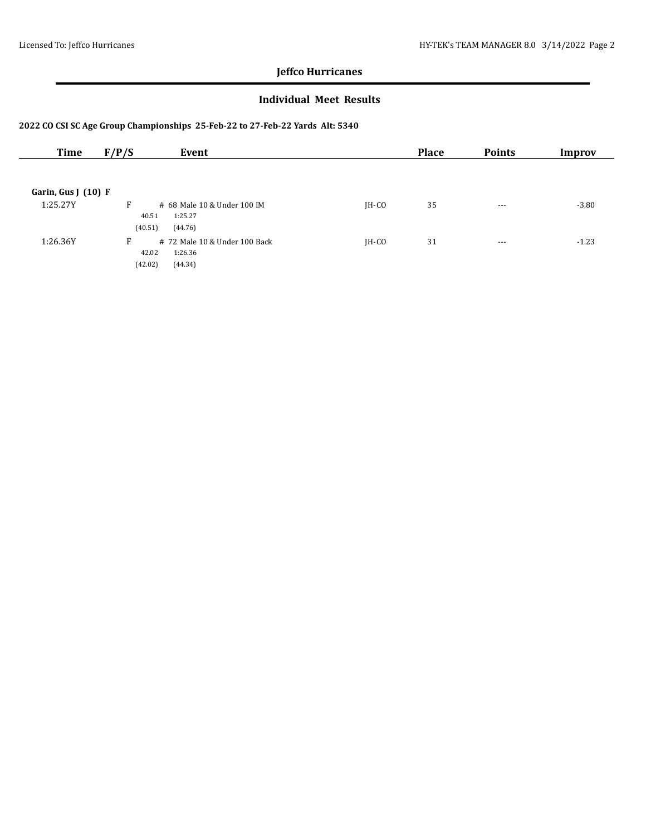### **Individual Meet Results**

| Time                | F/P/S<br>Event                                                               |         | <b>Place</b> | <b>Points</b> | Improv  |
|---------------------|------------------------------------------------------------------------------|---------|--------------|---------------|---------|
|                     |                                                                              |         |              |               |         |
| Garin, Gus $(10)$ F |                                                                              |         |              |               |         |
| 1:25.27Y            | F<br># 68 Male 10 & Under 100 IM<br>1:25.27<br>40.51                         | $IH-CO$ | 35           | $--$          | $-3.80$ |
|                     | (40.51)<br>(44.76)                                                           |         |              |               |         |
| 1:26.36Y            | F<br># 72 Male 10 & Under 100 Back<br>1:26.36<br>42.02<br>(42.02)<br>(44.34) | $IH-CO$ | 31           | $--$          | $-1.23$ |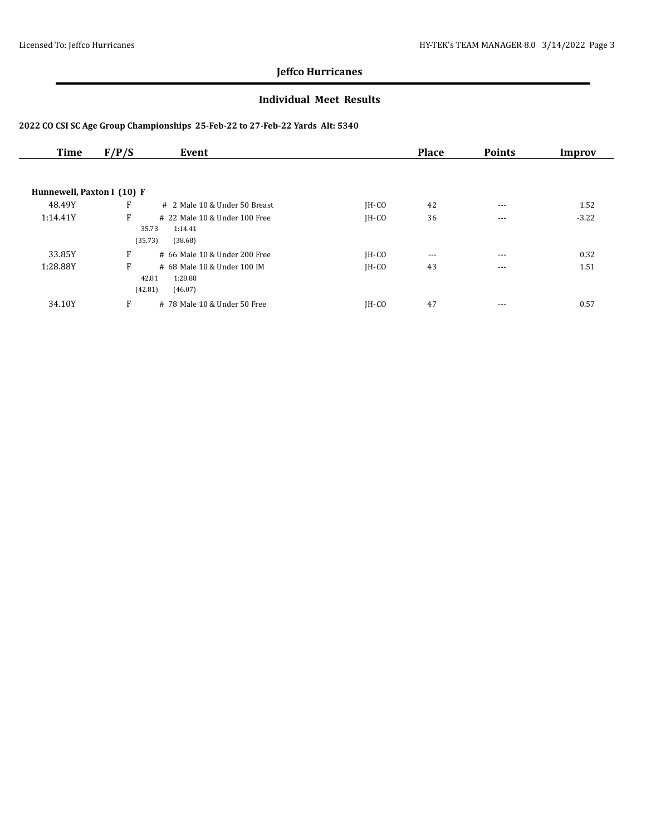### **Individual Meet Results**

| Time                       | F/P/S                 | Event                                             |         | <b>Place</b> | <b>Points</b> | Improv  |
|----------------------------|-----------------------|---------------------------------------------------|---------|--------------|---------------|---------|
|                            |                       |                                                   |         |              |               |         |
| Hunnewell, Paxton I (10) F |                       |                                                   |         |              |               |         |
| 48.49Y                     | F                     | # 2 Male 10 & Under 50 Breast                     | $IH-CO$ | 42           | $---$         | 1.52    |
| 1:14.41Y                   | F                     | # 22 Male 10 & Under 100 Free                     | $IH-CO$ | 36           | $- - -$       | $-3.22$ |
|                            | 35.73<br>(35.73)      | 1:14.41<br>(38.68)                                |         |              |               |         |
| 33.85Y                     | F                     | # 66 Male 10 & Under 200 Free                     | $IH-CO$ | $\cdots$     | $---$         | 0.32    |
| 1:28.88Y                   | F<br>42.81<br>(42.81) | # 68 Male 10 & Under 100 IM<br>1:28.88<br>(46.07) | $IH-CO$ | 43           | $- - -$       | 1.51    |
| 34.10Y                     | F                     | # 78 Male 10 & Under 50 Free                      | IH-CO   | 47           | $---$         | 0.57    |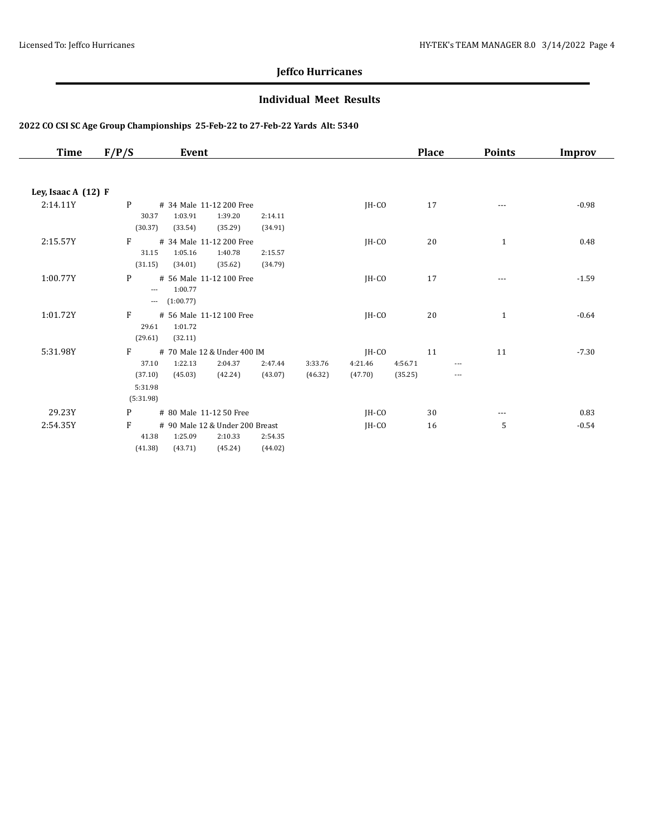### **Individual Meet Results**

| Time                  | F/P/S            | Event              |                                     |         |         |         |         | <b>Place</b> | <b>Points</b>            | <b>Improv</b> |
|-----------------------|------------------|--------------------|-------------------------------------|---------|---------|---------|---------|--------------|--------------------------|---------------|
|                       |                  |                    |                                     |         |         |         |         |              |                          |               |
| Ley, Isaac A $(12)$ F |                  |                    |                                     |         |         |         |         |              |                          |               |
| 2:14.11Y              | P                | 1:03.91            | # 34 Male 11-12 200 Free<br>1:39.20 | 2:14.11 |         | $IH-CO$ |         | 17           | $---$                    | $-0.98$       |
|                       | 30.37<br>(30.37) | (33.54)            | (35.29)                             | (34.91) |         |         |         |              |                          |               |
| 2:15.57Y              | F                |                    | # 34 Male 11-12 200 Free            |         |         | JH-CO   |         | 20           | $\mathbf{1}$             | 0.48          |
|                       | 31.15            | 1:05.16            | 1:40.78                             | 2:15.57 |         |         |         |              |                          |               |
|                       | (31.15)          | (34.01)            | (35.62)                             | (34.79) |         |         |         |              |                          |               |
| 1:00.77Y              | P<br>$---$       | 1:00.77            | # 56 Male 11-12 100 Free            |         |         | $IH-CO$ |         | 17           |                          | $-1.59$       |
|                       | $\cdots$         | (1:00.77)          |                                     |         |         |         |         |              |                          |               |
| 1:01.72Y              | F                |                    | # 56 Male 11-12 100 Free            |         |         | IH-CO   |         | 20           | $\mathbf{1}$             | $-0.64$       |
|                       | 29.61<br>(29.61) | 1:01.72<br>(32.11) |                                     |         |         |         |         |              |                          |               |
| 5:31.98Y              | F                |                    | # 70 Male 12 & Under 400 IM         |         |         | $IH-CO$ |         | 11           | 11                       | $-7.30$       |
|                       | 37.10            | 1:22.13            | 2:04.37                             | 2:47.44 | 3:33.76 | 4:21.46 | 4:56.71 |              | $\cdots$                 |               |
|                       | (37.10)          | (45.03)            | (42.24)                             | (43.07) | (46.32) | (47.70) | (35.25) |              | $\overline{\phantom{a}}$ |               |
|                       | 5:31.98          |                    |                                     |         |         |         |         |              |                          |               |
|                       | (5:31.98)        |                    |                                     |         |         |         |         |              |                          |               |
| 29.23Y                | P                |                    | # 80 Male 11-12 50 Free             |         |         | JH-CO   |         | 30           | $\cdots$                 | 0.83          |
| 2:54.35Y              | F                |                    | # 90 Male 12 & Under 200 Breast     |         |         | $IH-CO$ |         | 16           | 5                        | $-0.54$       |
|                       | 41.38            | 1:25.09            | 2:10.33                             | 2:54.35 |         |         |         |              |                          |               |
|                       | (41.38)          | (43.71)            | (45.24)                             | (44.02) |         |         |         |              |                          |               |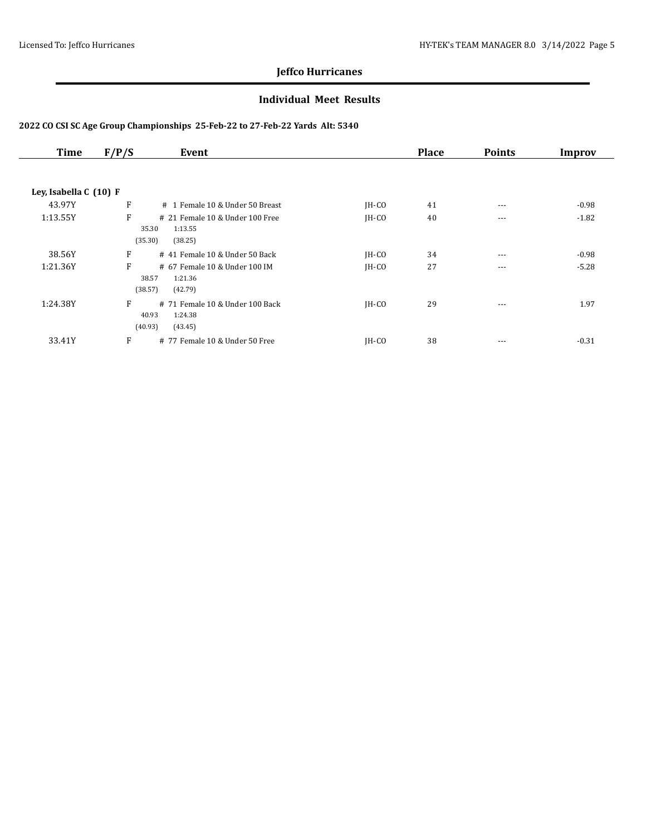### **Individual Meet Results**

| Time                   | F/P/S<br>Event                              |                                 |         | <b>Place</b> | <b>Points</b> | Improv  |
|------------------------|---------------------------------------------|---------------------------------|---------|--------------|---------------|---------|
| Ley, Isabella C (10) F |                                             |                                 |         |              |               |         |
| 43.97Y                 | F                                           | # 1 Female 10 & Under 50 Breast | JH-CO   | 41           | $\cdots$      | $-0.98$ |
| 1:13.55Y               | F<br>35.30<br>1:13.55<br>(35.30)<br>(38.25) | # 21 Female 10 & Under 100 Free | $IH-CO$ | 40           | $\cdots$      | $-1.82$ |
| 38.56Y                 | F                                           | # 41 Female 10 & Under 50 Back  | $IH-CO$ | 34           | $\cdots$      | $-0.98$ |
| 1:21.36Y               | F<br>38.57<br>1:21.36<br>(42.79)<br>(38.57) | # 67 Female 10 & Under 100 IM   | $IH-CO$ | 27           | $- - -$       | $-5.28$ |
| 1:24.38Y               | F<br>40.93<br>1:24.38<br>(40.93)<br>(43.45) | # 71 Female 10 & Under 100 Back | $IH-CO$ | 29           | $\cdots$      | 1.97    |
| 33.41Y                 | F                                           | # 77 Female 10 & Under 50 Free  | $IH-CO$ | 38           | $---$         | $-0.31$ |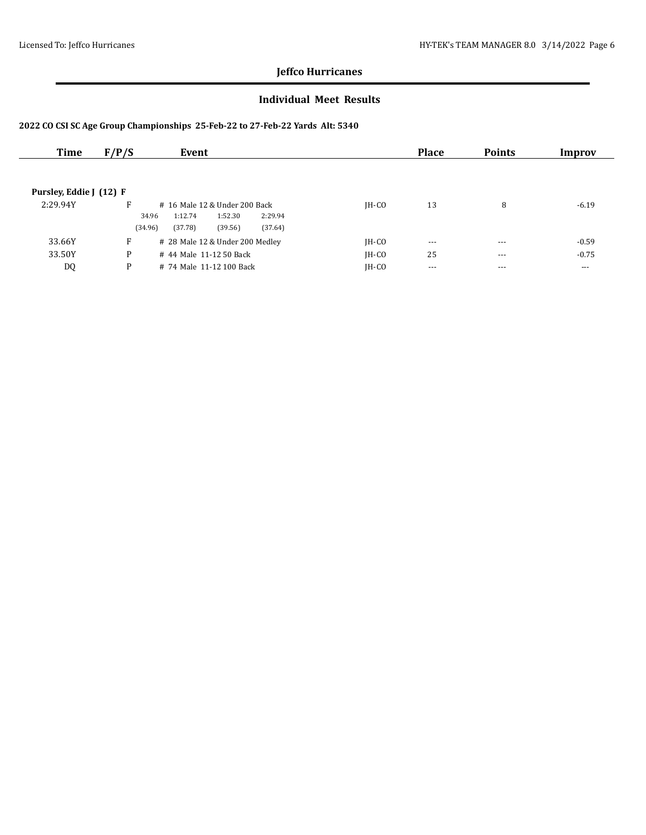### **Individual Meet Results**

| Time                    | F/P/S   | Event                                  |         | <b>Place</b> | <b>Points</b> | Improv  |
|-------------------------|---------|----------------------------------------|---------|--------------|---------------|---------|
|                         |         |                                        |         |              |               |         |
|                         |         |                                        |         |              |               |         |
| Pursley, Eddie J (12) F |         |                                        |         |              |               |         |
| 2:29.94Y                | F       | # 16 Male 12 & Under 200 Back          | $IH-CO$ | 13           | 8             | $-6.19$ |
|                         |         | 2:29.94<br>1:12.74<br>34.96<br>1:52.30 |         |              |               |         |
|                         | (34.96) | (37.78)<br>(39.56)<br>(37.64)          |         |              |               |         |
| 33.66Y                  | F       | # 28 Male 12 & Under 200 Medley        | $IH-CO$ | $---$        | $- - -$       | $-0.59$ |
| 33.50Y                  | P       | # 44 Male 11-12 50 Back                | $IH-CO$ | 25           | $--$          | $-0.75$ |
| DQ                      | P       | # 74 Male 11-12 100 Back               | IH-CO   | $---$        | $- - -$       | $- - -$ |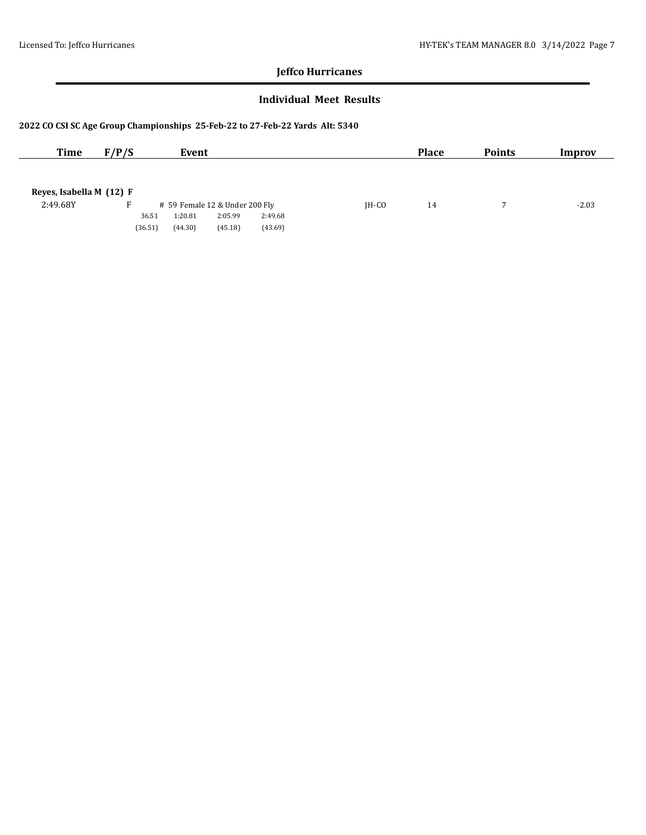#### **Individual Meet Results**

| <b>Time</b>              | F/P/S   | Event                          |         |         |         | <b>Place</b> | <b>Points</b> | Improv  |
|--------------------------|---------|--------------------------------|---------|---------|---------|--------------|---------------|---------|
|                          |         |                                |         |         |         |              |               |         |
|                          |         |                                |         |         |         |              |               |         |
| Reyes, Isabella M (12) F |         |                                |         |         |         |              |               |         |
| 2:49.68Y                 |         | # 59 Female 12 & Under 200 Fly |         |         | $IH-CO$ | 14           |               | $-2.03$ |
|                          | 36.51   | 1:20.81                        | 2:05.99 | 2:49.68 |         |              |               |         |
|                          | (36.51) | (44.30)                        | (45.18) | (43.69) |         |              |               |         |